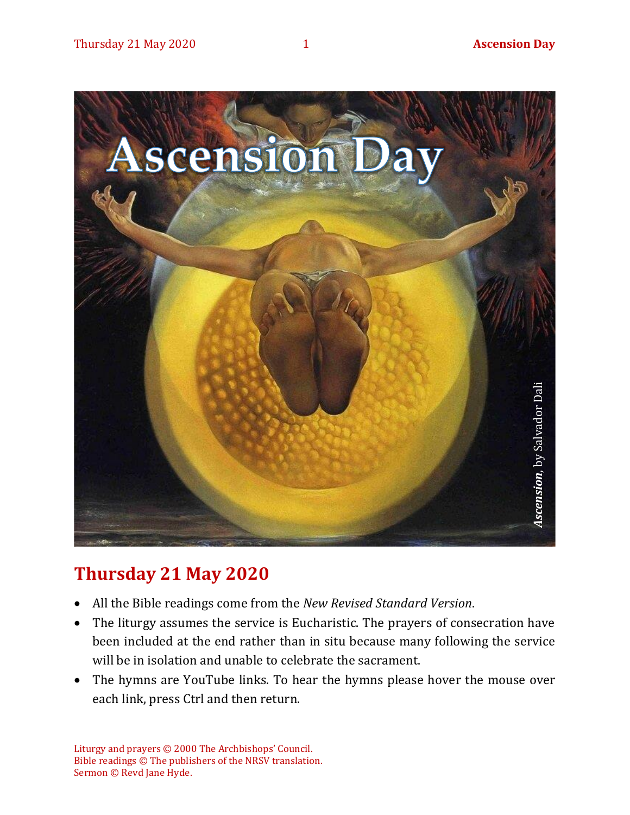

# **Thursday 21 May 2020**

- All the Bible readings come from the *New Revised Standard Version*.
- The liturgy assumes the service is Eucharistic. The prayers of consecration have been included at the end rather than in situ because many following the service will be in isolation and unable to celebrate the sacrament.
- The hymns are YouTube links. To hear the hymns please hover the mouse over each link, press Ctrl and then return.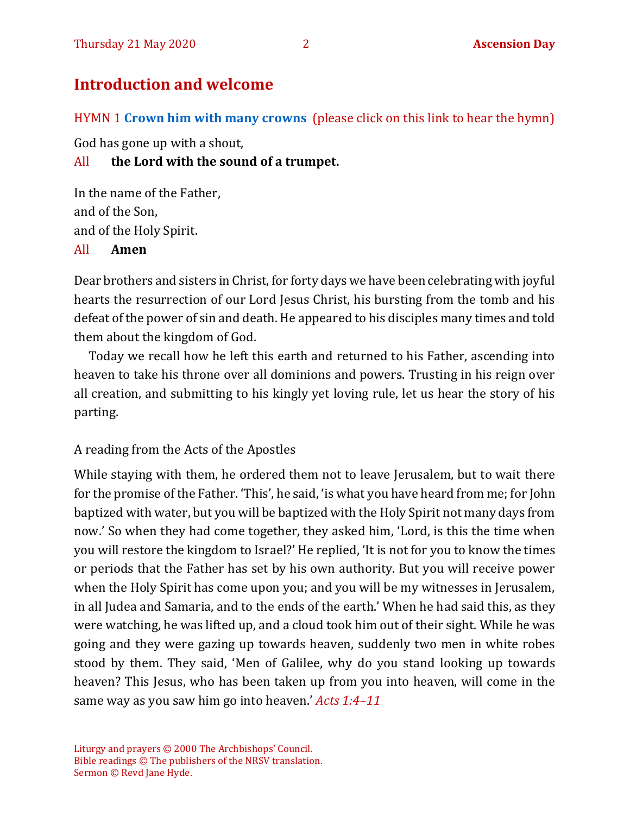# **Introduction and welcome**

HYMN 1 **[Crown him with many crowns](https://youtu.be/F8ti2-eoviU)** (please click on this link to hear the hymn)

God has gone up with a shout,

#### All **the Lord with the sound of a trumpet.**

In the name of the Father, and of the Son, and of the Holy Spirit. All **Amen**

Dear brothers and sisters in Christ, for forty days we have been celebrating with joyful hearts the resurrection of our Lord Jesus Christ, his bursting from the tomb and his defeat of the power of sin and death. He appeared to his disciples many times and told them about the kingdom of God.

Today we recall how he left this earth and returned to his Father, ascending into heaven to take his throne over all dominions and powers. Trusting in his reign over all creation, and submitting to his kingly yet loving rule, let us hear the story of his parting.

#### A reading from the Acts of the Apostles

While staying with them, he ordered them not to leave Jerusalem, but to wait there for the promise of the Father. 'This', he said, 'is what you have heard from me; for John baptized with water, but you will be baptized with the Holy Spirit not many days from now.' So when they had come together, they asked him, 'Lord, is this the time when you will restore the kingdom to Israel?' He replied, 'It is not for you to know the times or periods that the Father has set by his own authority. But you will receive power when the Holy Spirit has come upon you; and you will be my witnesses in Jerusalem, in all Judea and Samaria, and to the ends of the earth.' When he had said this, as they were watching, he was lifted up, and a cloud took him out of their sight. While he was going and they were gazing up towards heaven, suddenly two men in white robes stood by them. They said, 'Men of Galilee, why do you stand looking up towards heaven? This Jesus, who has been taken up from you into heaven, will come in the same way as you saw him go into heaven.' *Acts 1:4–11*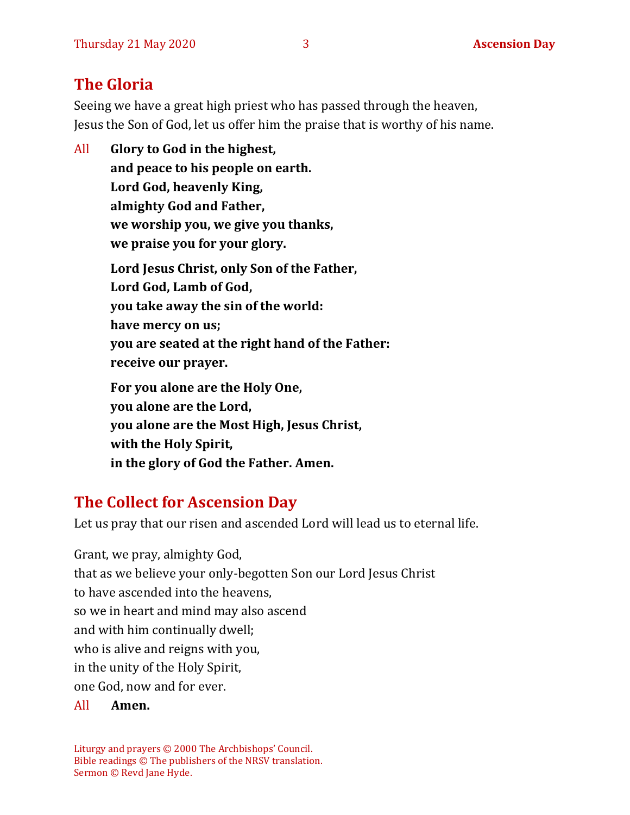# **The Gloria**

Seeing we have a great high priest who has passed through the heaven, Jesus the Son of God, let us offer him the praise that is worthy of his name.

All **Glory to God in the highest, and peace to his people on earth. Lord God, heavenly King, almighty God and Father, we worship you, we give you thanks, we praise you for your glory. Lord Jesus Christ, only Son of the Father, Lord God, Lamb of God, you take away the sin of the world: have mercy on us; you are seated at the right hand of the Father: receive our prayer. For you alone are the Holy One, you alone are the Lord, you alone are the Most High, Jesus Christ, with the Holy Spirit, in the glory of God the Father. Amen.**

# **The Collect for Ascension Day**

Let us pray that our risen and ascended Lord will lead us to eternal life.

Grant, we pray, almighty God, that as we believe your only-begotten Son our Lord Jesus Christ to have ascended into the heavens, so we in heart and mind may also ascend and with him continually dwell; who is alive and reigns with you, in the unity of the Holy Spirit, one God, now and for ever.

All **Amen.**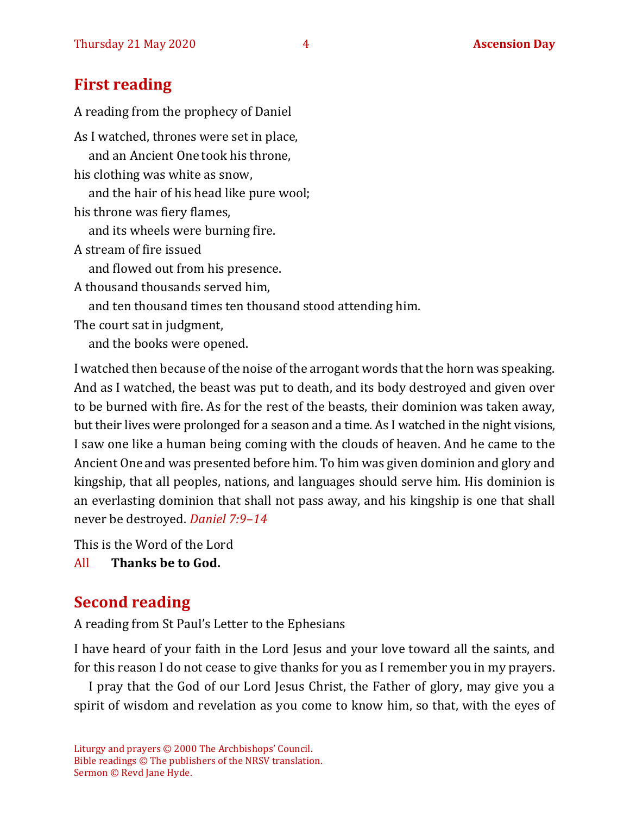### **First reading**

A reading from the prophecy of Daniel As I watched, thrones were set in place, and an Ancient One took his throne, his clothing was white as snow, and the hair of his head like pure wool; his throne was fiery flames, and its wheels were burning fire. A stream of fire issued and flowed out from his presence. A thousand thousands served him, and ten thousand times ten thousand stood attending him. The court sat in judgment, and the books were opened.

I watched then because of the noise of the arrogant words that the horn was speaking. And as I watched, the beast was put to death, and its body destroyed and given over to be burned with fire. As for the rest of the beasts, their dominion was taken away, but their lives were prolonged for a season and a time. As I watched in the night visions, I saw one like a human being coming with the clouds of heaven. And he came to the Ancient One and was presented before him. To him was given dominion and glory and kingship, that all peoples, nations, and languages should serve him. His dominion is an everlasting dominion that shall not pass away, and his kingship is one that shall never be destroyed. *Daniel 7:9–14*

This is the Word of the Lord

All **Thanks be to God.**

# **Second reading**

A reading from St Paul's Letter to the Ephesians

I have heard of your faith in the Lord Jesus and your love toward all the saints, and for this reason I do not cease to give thanks for you as I remember you in my prayers.

I pray that the God of our Lord Jesus Christ, the Father of glory, may give you a spirit of wisdom and revelation as you come to know him, so that, with the eyes of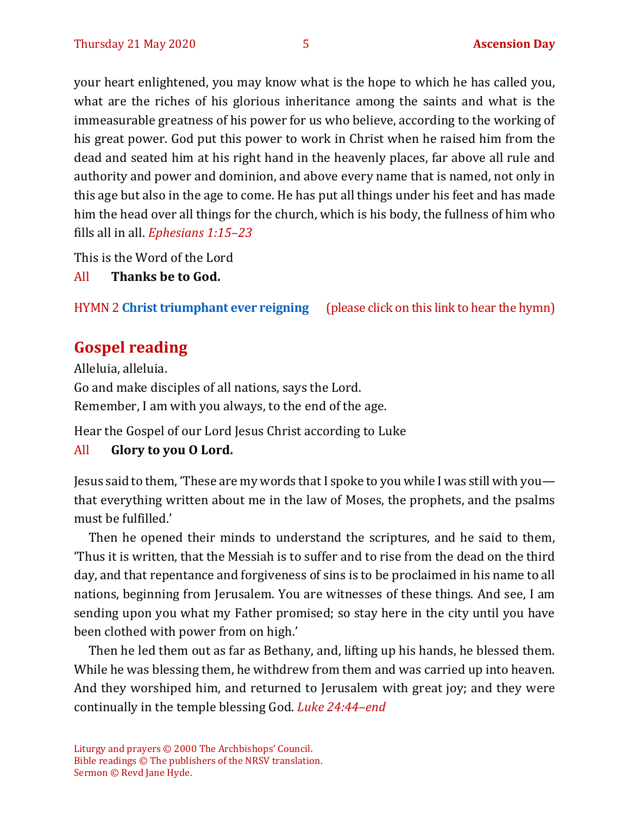your heart enlightened, you may know what is the hope to which he has called you, what are the riches of his glorious inheritance among the saints and what is the immeasurable greatness of his power for us who believe, according to the working of his great power. God put this power to work in Christ when he raised him from the dead and seated him at his right hand in the heavenly places, far above all rule and authority and power and dominion, and above every name that is named, not only in this age but also in the age to come. He has put all things under his feet and has made him the head over all things for the church, which is his body, the fullness of him who fills all in all. *Ephesians 1:15–23*

This is the Word of the Lord

All **Thanks be to God.**

HYMN 2 **[Christ triumphant ever reigning](https://www.youtube.com/watch?v=G3zbp6BU1S0)** (please click on this link to hear the hymn)

# **Gospel reading**

Alleluia, alleluia. Go and make disciples of all nations, says the Lord. Remember, I am with you always, to the end of the age.

Hear the Gospel of our Lord Jesus Christ according to Luke

#### All **Glory to you O Lord.**

Jesus said to them, 'These are my words that I spoke to you while I was still with you that everything written about me in the law of Moses, the prophets, and the psalms must be fulfilled.'

Then he opened their minds to understand the scriptures, and he said to them, 'Thus it is written, that the Messiah is to suffer and to rise from the dead on the third day, and that repentance and forgiveness of sins is to be proclaimed in his name to all nations, beginning from Jerusalem. You are witnesses of these things. And see, I am sending upon you what my Father promised; so stay here in the city until you have been clothed with power from on high.'

Then he led them out as far as Bethany, and, lifting up his hands, he blessed them. While he was blessing them, he withdrew from them and was carried up into heaven. And they worshiped him, and returned to Jerusalem with great joy; and they were continually in the temple blessing God. *Luke 24:44–end*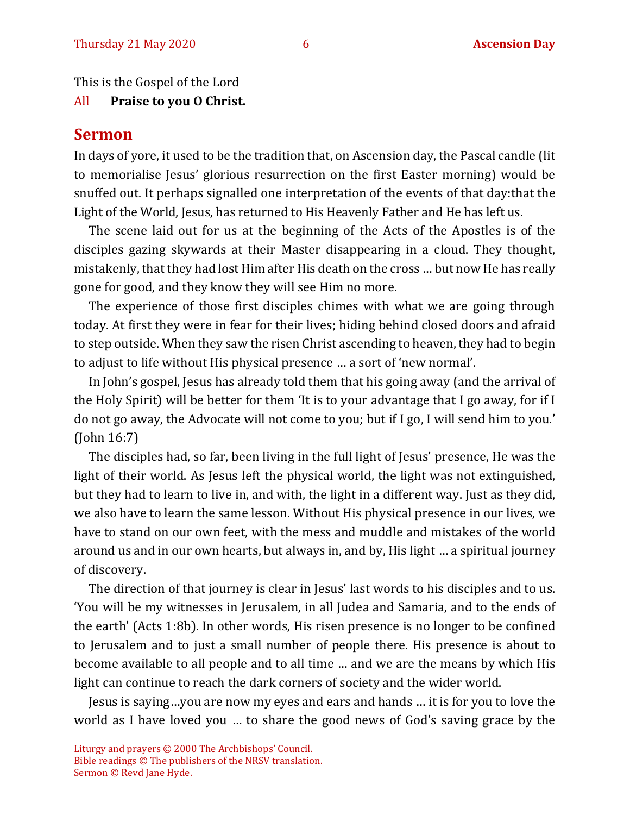This is the Gospel of the Lord

#### All **Praise to you O Christ.**

#### **Sermon**

In days of yore, it used to be the tradition that, on Ascension day, the Pascal candle (lit to memorialise Jesus' glorious resurrection on the first Easter morning) would be snuffed out. It perhaps signalled one interpretation of the events of that day:that the Light of the World, Jesus, has returned to His Heavenly Father and He has left us.

The scene laid out for us at the beginning of the Acts of the Apostles is of the disciples gazing skywards at their Master disappearing in a cloud. They thought, mistakenly, that they had lost Him after His death on the cross … but now He has really gone for good, and they know they will see Him no more.

The experience of those first disciples chimes with what we are going through today. At first they were in fear for their lives; hiding behind closed doors and afraid to step outside. When they saw the risen Christ ascending to heaven, they had to begin to adjust to life without His physical presence … a sort of 'new normal'.

In John's gospel, Jesus has already told them that his going away (and the arrival of the Holy Spirit) will be better for them 'It is to your advantage that I go away, for if I do not go away, the Advocate will not come to you; but if I go, I will send him to you.' (John 16:7)

The disciples had, so far, been living in the full light of Jesus' presence, He was the light of their world. As Jesus left the physical world, the light was not extinguished, but they had to learn to live in, and with, the light in a different way. Just as they did, we also have to learn the same lesson. Without His physical presence in our lives, we have to stand on our own feet, with the mess and muddle and mistakes of the world around us and in our own hearts, but always in, and by, His light … a spiritual journey of discovery.

The direction of that journey is clear in Jesus' last words to his disciples and to us. 'You will be my witnesses in Jerusalem, in all Judea and Samaria, and to the ends of the earth' (Acts 1:8b). In other words, His risen presence is no longer to be confined to Jerusalem and to just a small number of people there. His presence is about to become available to all people and to all time … and we are the means by which His light can continue to reach the dark corners of society and the wider world.

Jesus is saying…you are now my eyes and ears and hands … it is for you to love the world as I have loved you … to share the good news of God's saving grace by the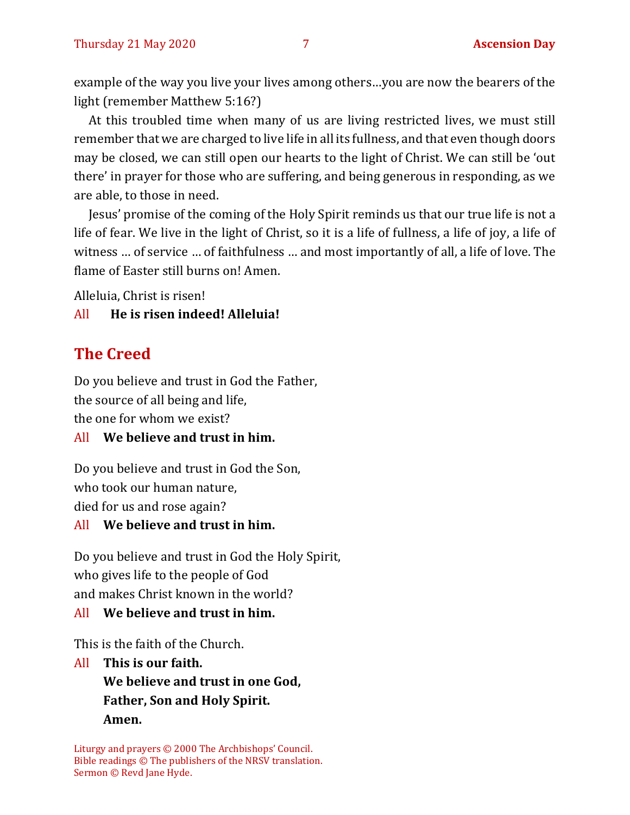example of the way you live your lives among others…you are now the bearers of the light (remember Matthew 5:16?)

At this troubled time when many of us are living restricted lives, we must still remember that we are charged to live life in all its fullness, and that even though doors may be closed, we can still open our hearts to the light of Christ. We can still be 'out there' in prayer for those who are suffering, and being generous in responding, as we are able, to those in need.

Jesus' promise of the coming of the Holy Spirit reminds us that our true life is not a life of fear. We live in the light of Christ, so it is a life of fullness, a life of joy, a life of witness … of service … of faithfulness … and most importantly of all, a life of love. The flame of Easter still burns on! Amen.

Alleluia, Christ is risen!

#### All **He is risen indeed! Alleluia!**

# **The Creed**

Do you believe and trust in God the Father, the source of all being and life, the one for whom we exist?

#### All **We believe and trust in him.**

Do you believe and trust in God the Son, who took our human nature, died for us and rose again?

#### All **We believe and trust in him.**

Do you believe and trust in God the Holy Spirit, who gives life to the people of God and makes Christ known in the world?

#### All **We believe and trust in him.**

This is the faith of the Church.

All **This is our faith. We believe and trust in one God, Father, Son and Holy Spirit. Amen.**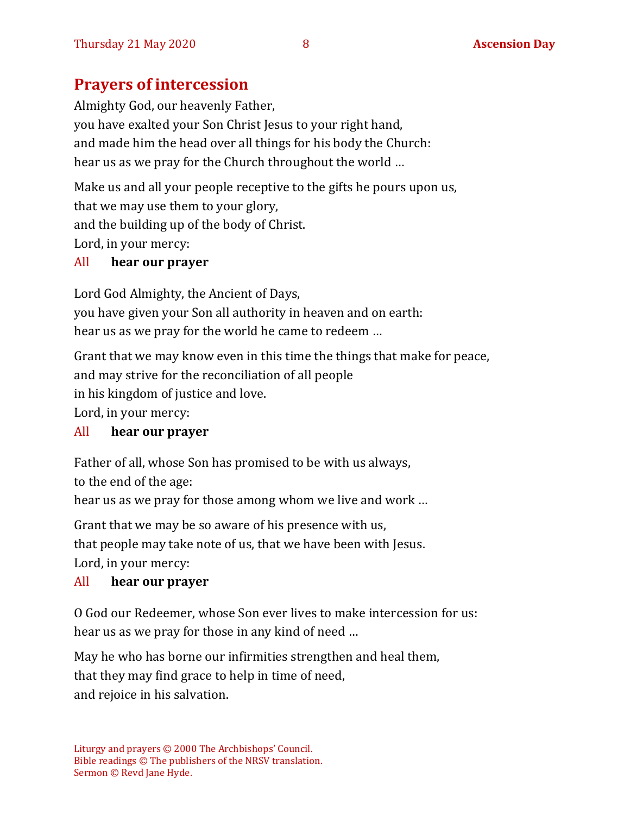# **Prayers of intercession**

Almighty God, our heavenly Father, you have exalted your Son Christ Jesus to your right hand, and made him the head over all things for his body the Church: hear us as we pray for the Church throughout the world …

Make us and all your people receptive to the gifts he pours upon us, that we may use them to your glory, and the building up of the body of Christ. Lord, in your mercy:

#### All **hear our prayer**

Lord God Almighty, the Ancient of Days, you have given your Son all authority in heaven and on earth: hear us as we pray for the world he came to redeem …

Grant that we may know even in this time the things that make for peace, and may strive for the reconciliation of all people in his kingdom of justice and love. Lord, in your mercy:

#### All **hear our prayer**

Father of all, whose Son has promised to be with us always,

to the end of the age:

hear us as we pray for those among whom we live and work …

Grant that we may be so aware of his presence with us, that people may take note of us, that we have been with Jesus. Lord, in your mercy:

#### All **hear our prayer**

O God our Redeemer, whose Son ever lives to make intercession for us: hear us as we pray for those in any kind of need …

May he who has borne our infirmities strengthen and heal them, that they may find grace to help in time of need, and rejoice in his salvation.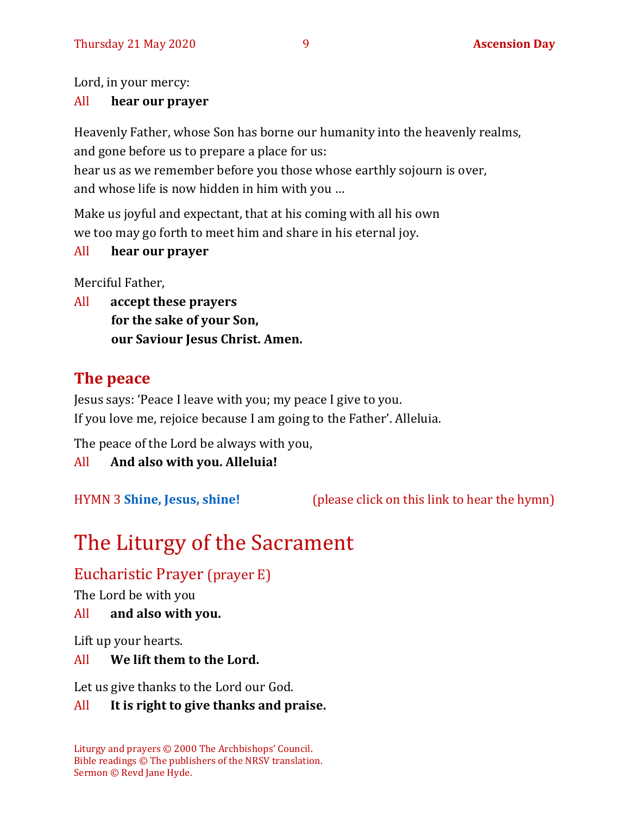Lord, in your mercy:

#### All **hear our prayer**

Heavenly Father, whose Son has borne our humanity into the heavenly realms, and gone before us to prepare a place for us: hear us as we remember before you those whose earthly sojourn is over,

and whose life is now hidden in him with you …

Make us joyful and expectant, that at his coming with all his own we too may go forth to meet him and share in his eternal joy.

#### All **hear our prayer**

Merciful Father,

All **accept these prayers for the sake of your Son, our Saviour Jesus Christ. Amen.**

# **The peace**

Jesus says: 'Peace I leave with you; my peace I give to you. If you love me, rejoice because I am going to the Father'. Alleluia.

The peace of the Lord be always with you,

All **And also with you. Alleluia!**

HYMN 3 **[Shine, Jesus, shine!](https://youtu.be/7OIwSQmyCg4)** (please click on this link to hear the hymn)

# The Liturgy of the Sacrament

Eucharistic Prayer (prayer E)

The Lord be with you

All **and also with you.**

Lift up your hearts.

#### All **We lift them to the Lord.**

Let us give thanks to the Lord our God.

### All **It is right to give thanks and praise.**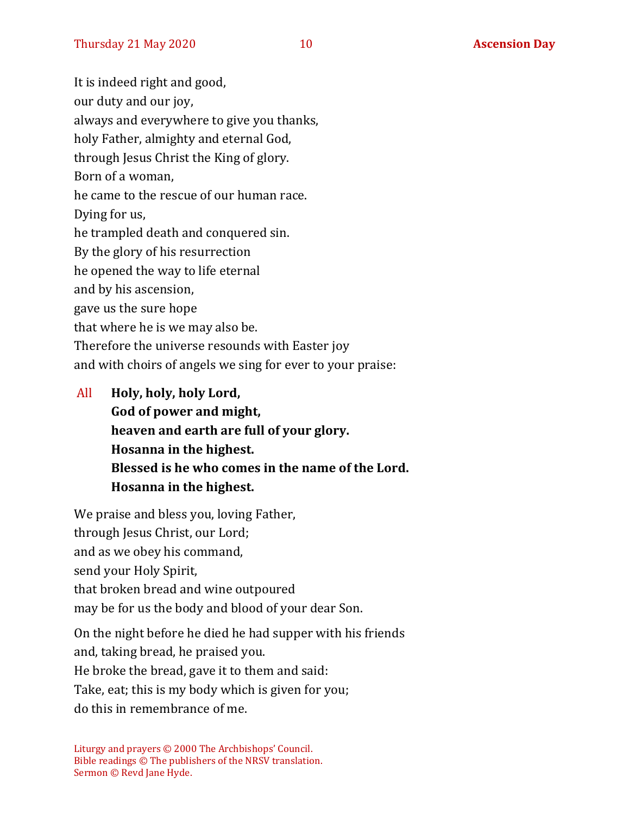It is indeed right and good, our duty and our joy, always and everywhere to give you thanks, holy Father, almighty and eternal God, through Jesus Christ the King of glory. Born of a woman, he came to the rescue of our human race. Dying for us, he trampled death and conquered sin. By the glory of his resurrection he opened the way to life eternal and by his ascension, gave us the sure hope that where he is we may also be. Therefore the universe resounds with Easter joy and with choirs of angels we sing for ever to your praise:

All **Holy, holy, holy Lord, God of power and might, heaven and earth are full of your glory. Hosanna in the highest. Blessed is he who comes in the name of the Lord. Hosanna in the highest.**

We praise and bless you, loving Father, through Jesus Christ, our Lord; and as we obey his command, send your Holy Spirit, that broken bread and wine outpoured may be for us the body and blood of your dear Son.

On the night before he died he had supper with his friends

and, taking bread, he praised you.

He broke the bread, gave it to them and said:

Take, eat; this is my body which is given for you;

do this in remembrance of me.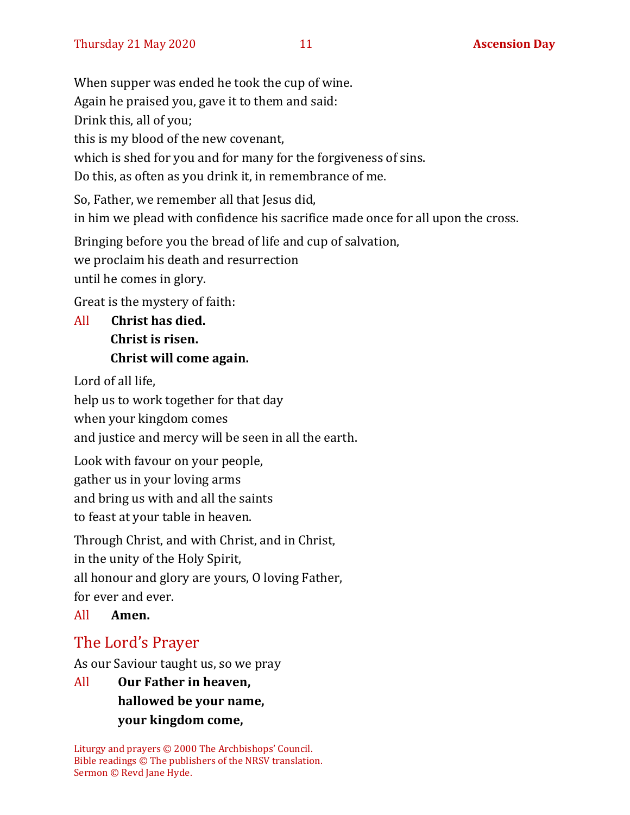When supper was ended he took the cup of wine. Again he praised you, gave it to them and said: Drink this, all of you; this is my blood of the new covenant, which is shed for you and for many for the forgiveness of sins. Do this, as often as you drink it, in remembrance of me. So, Father, we remember all that Jesus did, in him we plead with confidence his sacrifice made once for all upon the cross. Bringing before you the bread of life and cup of salvation, we proclaim his death and resurrection

until he comes in glory.

Great is the mystery of faith:

All **Christ has died. Christ is risen. Christ will come again.**

Lord of all life,

help us to work together for that day

when your kingdom comes

and justice and mercy will be seen in all the earth.

Look with favour on your people, gather us in your loving arms and bring us with and all the saints to feast at your table in heaven.

Through Christ, and with Christ, and in Christ, in the unity of the Holy Spirit, all honour and glory are yours, O loving Father, for ever and ever.

All **Amen.**

# The Lord's Prayer

As our Saviour taught us, so we pray

All **Our Father in heaven, hallowed be your name, your kingdom come,**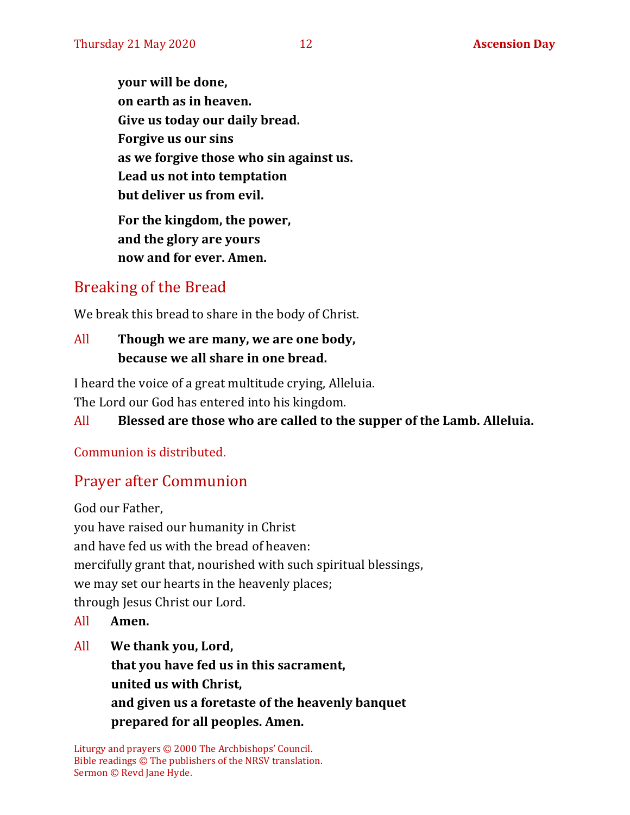**your will be done, on earth as in heaven. Give us today our daily bread. Forgive us our sins as we forgive those who sin against us. Lead us not into temptation but deliver us from evil. For the kingdom, the power, and the glory are yours now and for ever. Amen.**

# Breaking of the Bread

We break this bread to share in the body of Christ.

#### All **Though we are many, we are one body, because we all share in one bread.**

I heard the voice of a great multitude crying, Alleluia. The Lord our God has entered into his kingdom.

### All **Blessed are those who are called to the supper of the Lamb. Alleluia.**

Communion is distributed.

# Prayer after Communion

God our Father, you have raised our humanity in Christ and have fed us with the bread of heaven: mercifully grant that, nourished with such spiritual blessings, we may set our hearts in the heavenly places; through Jesus Christ our Lord.

- All **Amen.**
- All **We thank you, Lord, that you have fed us in this sacrament, united us with Christ, and given us a foretaste of the heavenly banquet**
	- **prepared for all peoples. Amen.**